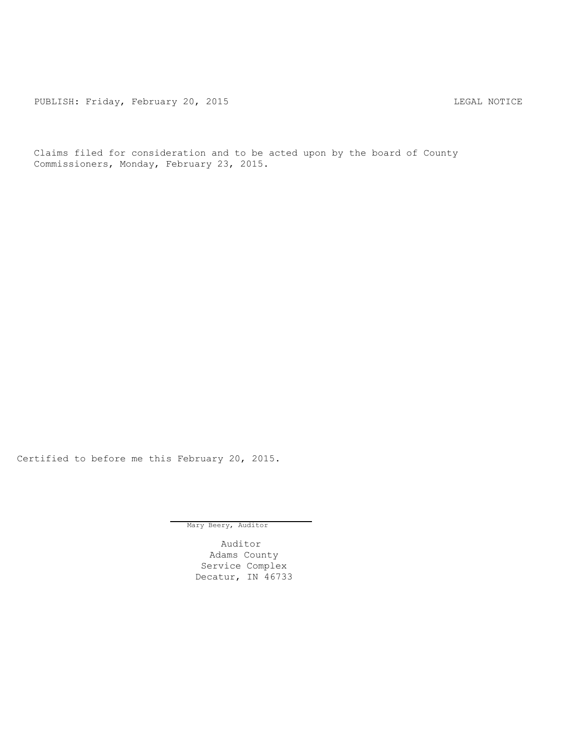PUBLISH: Friday, February 20, 2015 CHA CHANGE CONSTRUCTED MOTICE

Claims filed for consideration and to be acted upon by the board of County Commissioners, Monday, February 23, 2015.

Certified to before me this February 20, 2015.

Mary Beery, Auditor

Auditor Adams County Service Complex Decatur, IN 46733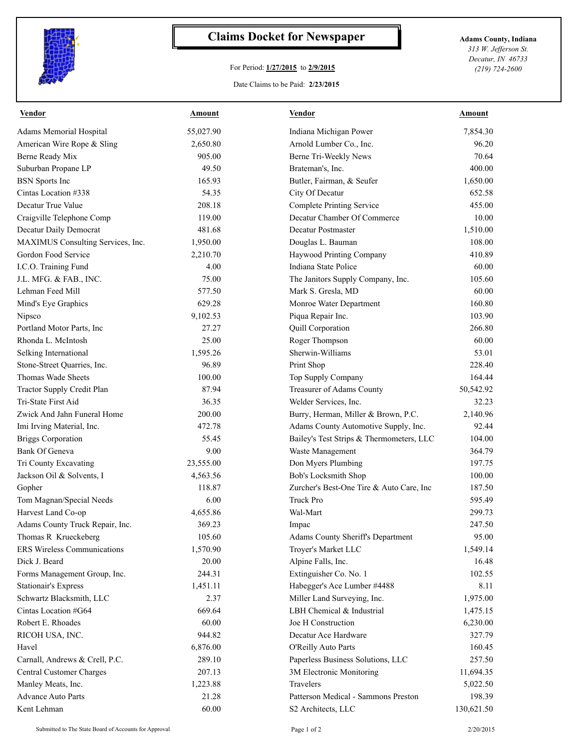

## **Claims Docket for Newspaper Adams County, Indiana**

## For Period: **1/27/2015** to **2/9/2015**

*313 W. Jefferson St. Decatur, IN 46733 (219) 724-2600*

## Date Claims to be Paid: **2/23/2015**

| <b>Vendor</b>                      | <b>Amount</b> | <b>Vendor</b>                            | <b>Amount</b> |
|------------------------------------|---------------|------------------------------------------|---------------|
| Adams Memorial Hospital            | 55,027.90     | Indiana Michigan Power                   | 7,854.30      |
| American Wire Rope & Sling         | 2,650.80      | Arnold Lumber Co., Inc.                  | 96.20         |
| Berne Ready Mix                    | 905.00        | Berne Tri-Weekly News                    | 70.64         |
| Suburban Propane LP                | 49.50         | Brateman's, Inc.                         | 400.00        |
| <b>BSN</b> Sports Inc              | 165.93        | Butler, Fairman, & Seufer                | 1,650.00      |
| Cintas Location #338               | 54.35         | City Of Decatur                          | 652.58        |
| Decatur True Value                 | 208.18        | <b>Complete Printing Service</b>         | 455.00        |
| Craigville Telephone Comp          | 119.00        | Decatur Chamber Of Commerce              | 10.00         |
| Decatur Daily Democrat             | 481.68        | Decatur Postmaster                       | 1,510.00      |
| MAXIMUS Consulting Services, Inc.  | 1,950.00      | Douglas L. Bauman                        | 108.00        |
| Gordon Food Service                | 2,210.70      | Haywood Printing Company                 | 410.89        |
| I.C.O. Training Fund               | 4.00          | Indiana State Police                     | 60.00         |
| J.L. MFG. & FAB., INC.             | 75.00         | The Janitors Supply Company, Inc.        | 105.60        |
| Lehman Feed Mill                   | 577.50        | Mark S. Gresla, MD                       | 60.00         |
| Mind's Eye Graphics                | 629.28        | Monroe Water Department                  | 160.80        |
| Nipsco                             | 9,102.53      | Piqua Repair Inc.                        | 103.90        |
| Portland Motor Parts, Inc          | 27.27         | Quill Corporation                        | 266.80        |
| Rhonda L. McIntosh                 | 25.00         | Roger Thompson                           | 60.00         |
| Selking International              | 1,595.26      | Sherwin-Williams                         | 53.01         |
| Stone-Street Quarries, Inc.        | 96.89         | Print Shop                               | 228.40        |
| Thomas Wade Sheets                 | 100.00        | Top Supply Company                       | 164.44        |
| Tractor Supply Credit Plan         | 87.94         | Treasurer of Adams County                | 50,542.92     |
| Tri-State First Aid                | 36.35         | Welder Services, Inc.                    | 32.23         |
| Zwick And Jahn Funeral Home        | 200.00        | Burry, Herman, Miller & Brown, P.C.      | 2,140.96      |
| Imi Irving Material, Inc.          | 472.78        | Adams County Automotive Supply, Inc.     | 92.44         |
| <b>Briggs Corporation</b>          | 55.45         | Bailey's Test Strips & Thermometers, LLC | 104.00        |
| Bank Of Geneva                     | 9.00          | Waste Management                         | 364.79        |
| Tri County Excavating              | 23,555.00     | Don Myers Plumbing                       | 197.75        |
| Jackson Oil & Solvents, I          | 4,563.56      | Bob's Locksmith Shop                     | 100.00        |
| Gopher                             | 118.87        | Zurcher's Best-One Tire & Auto Care, Inc | 187.50        |
| Tom Magnan/Special Needs           | 6.00          | <b>Truck Pro</b>                         | 595.49        |
| Harvest Land Co-op                 | 4,655.86      | Wal-Mart                                 | 299.73        |
| Adams County Truck Repair, Inc.    | 369.23        | Impac                                    | 247.50        |
| Thomas R Krueckeberg               | 105.60        | Adams County Sheriff's Department        | 95.00         |
| <b>ERS Wireless Communications</b> | 1,570.90      | Troyer's Market LLC                      | 1,549.14      |
| Dick J. Beard                      | 20.00         | Alpine Falls, Inc.                       | 16.48         |
| Forms Management Group, Inc.       | 244.31        | Extinguisher Co. No. 1                   | 102.55        |
| <b>Stationair's Express</b>        | 1,451.11      | Habegger's Ace Lumber #4488              | 8.11          |
| Schwartz Blacksmith, LLC           | 2.37          | Miller Land Surveying, Inc.              | 1,975.00      |
| Cintas Location #G64               | 669.64        | LBH Chemical & Industrial                | 1,475.15      |
| Robert E. Rhoades                  | 60.00         | Joe H Construction                       | 6,230.00      |
| RICOH USA, INC.                    | 944.82        | Decatur Ace Hardware                     | 327.79        |
| Havel                              | 6,876.00      | O'Reilly Auto Parts                      | 160.45        |
| Carnall, Andrews & Crell, P.C.     | 289.10        | Paperless Business Solutions, LLC        | 257.50        |
| Central Customer Charges           | 207.13        | 3M Electronic Monitoring                 | 11,694.35     |
| Manley Meats, Inc.                 | 1,223.88      | Travelers                                | 5,022.50      |
| <b>Advance Auto Parts</b>          | 21.28         | Patterson Medical - Sammons Preston      | 198.39        |
| Kent Lehman                        | 60.00         | S2 Architects, LLC                       | 130,621.50    |
|                                    |               |                                          |               |